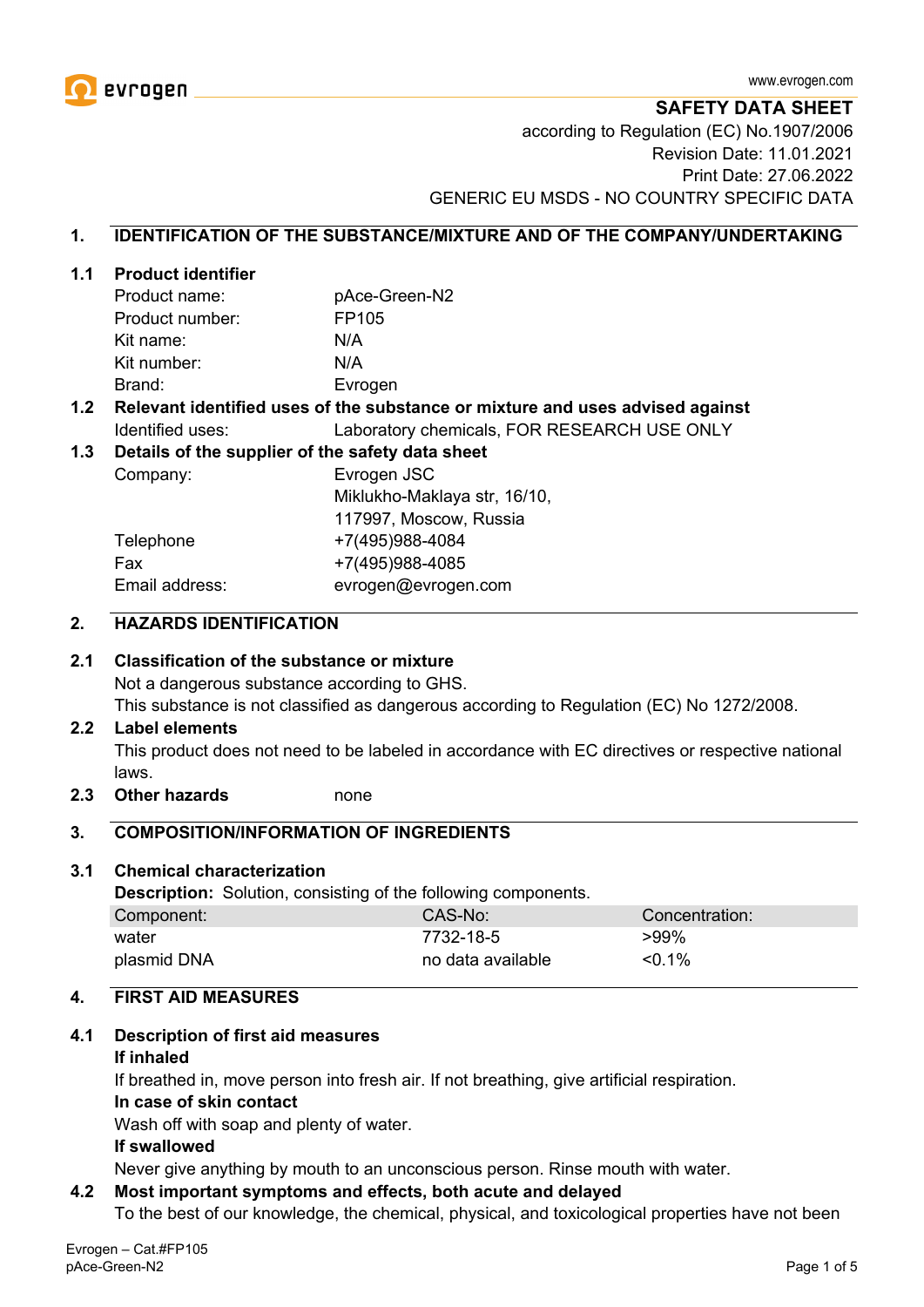

**SAFETY DATA SHEET**

according to Regulation (EC) No.1907/2006 Revision Date: 11.01.2021 Print Date: 27.06.2022 GENERIC EU MSDS - NO COUNTRY SPECIFIC DATA

#### **1. IDENTIFICATION OF THE SUBSTANCE/MIXTURE AND OF THE COMPANY/UNDERTAKING**

#### **1.1 Product identifier**

| Product name:   | pAce-Green-N2 |
|-----------------|---------------|
| Product number: | FP105         |
| Kit name:       | N/A           |
| Kit number:     | N/A           |
| Brand:          | Evrogen       |

#### **1.2 Relevant identified uses of the substance or mixture and uses advised against** Identified uses: Laboratory chemicals, FOR RESEARCH USE ONLY

#### **1.3 Details of the supplier of the safety data sheet**

Company: Evrogen JSC Miklukho-Maklaya str, 16/10, 117997, Moscow, Russia Telephone +7(495)988-4084 Fax +7(495)988-4085 Email address: evrogen@evrogen.com

#### **2. HAZARDS IDENTIFICATION**

#### **2.1 Classification of the substance or mixture**

Not a dangerous substance according to GHS.

This substance is not classified as dangerous according to Regulation (EC) No 1272/2008.

#### **2.2 Label elements**

This product does not need to be labeled in accordance with EC directives or respective national laws.

**2.3 Other hazards** none

#### **3. COMPOSITION/INFORMATION OF INGREDIENTS**

#### **3.1 Chemical characterization**

**Description:** Solution, consisting of the following components.

| Component:  | CAS-No:           | Concentration: |
|-------------|-------------------|----------------|
| water       | 7732-18-5         | $>99\%$        |
| plasmid DNA | no data available | $< 0.1\%$      |

# **4. FIRST AID MEASURES**

#### **4.1 Description of first aid measures**

#### **If inhaled**

If breathed in, move person into fresh air. If not breathing, give artificial respiration.

#### **In case of skin contact**

Wash off with soap and plenty of water.

#### **If swallowed**

Never give anything by mouth to an unconscious person. Rinse mouth with water.

#### **4.2 Most important symptoms and effects, both acute and delayed**

To the best of our knowledge, the chemical, physical, and toxicological properties have not been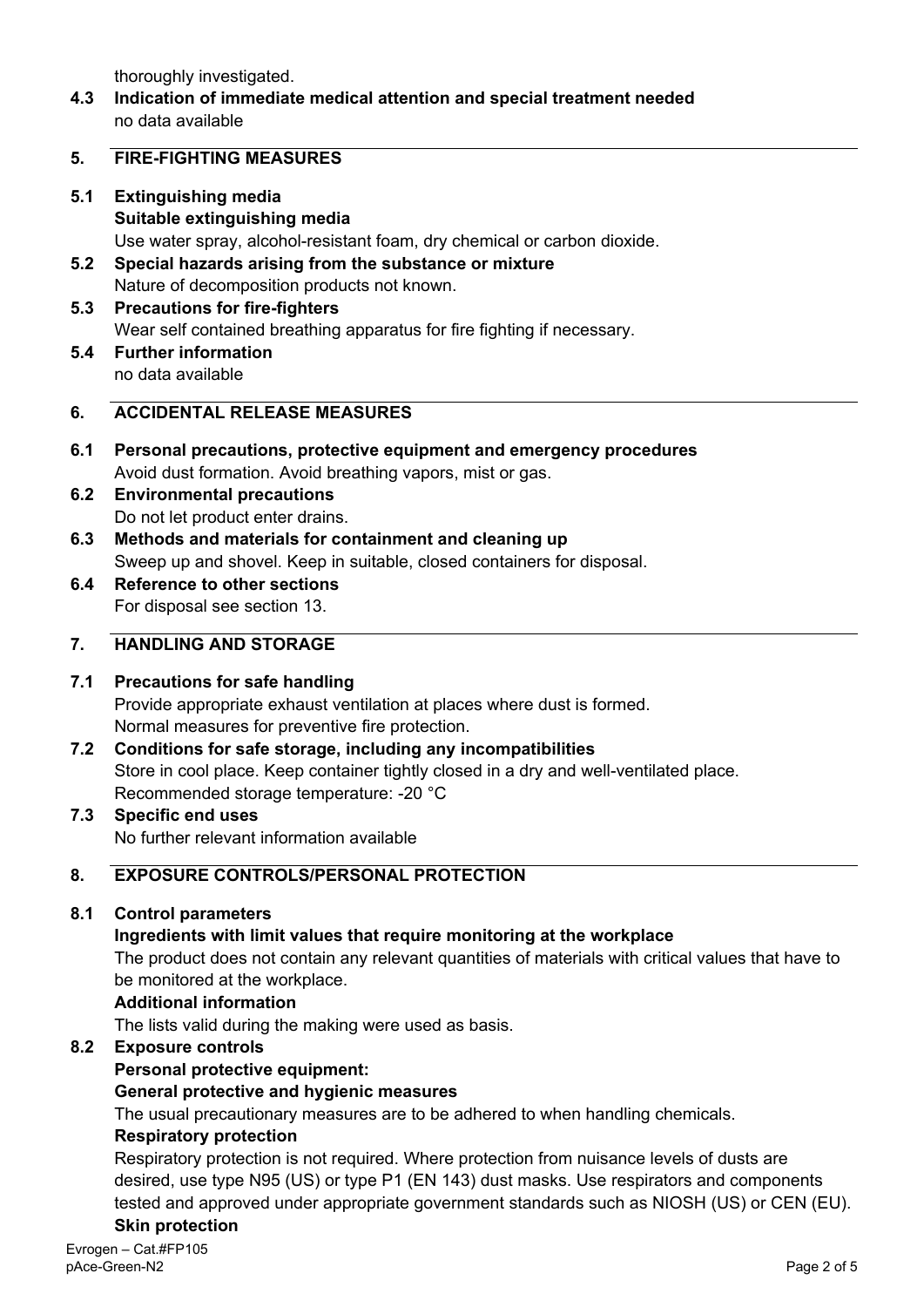thoroughly investigated.

**4.3 Indication of immediate medical attention and special treatment needed** no data available

#### **5. FIRE-FIGHTING MEASURES**

- **5.1 Extinguishing media Suitable extinguishing media** Use water spray, alcohol-resistant foam, dry chemical or carbon dioxide.
- **5.2 Special hazards arising from the substance or mixture** Nature of decomposition products not known.
- **5.3 Precautions for fire-fighters** Wear self contained breathing apparatus for fire fighting if necessary.
- **5.4 Further information** no data available

## **6. ACCIDENTAL RELEASE MEASURES**

- **6.1 Personal precautions, protective equipment and emergency procedures** Avoid dust formation. Avoid breathing vapors, mist or gas.
- **6.2 Environmental precautions** Do not let product enter drains.
- **6.3 Methods and materials for containment and cleaning up** Sweep up and shovel. Keep in suitable, closed containers for disposal.
- **6.4 Reference to other sections** For disposal see section 13.

## **7. HANDLING AND STORAGE**

## **7.1 Precautions for safe handling**

Provide appropriate exhaust ventilation at places where dust is formed. Normal measures for preventive fire protection.

- **7.2 Conditions for safe storage, including any incompatibilities** Store in cool place. Keep container tightly closed in a dry and well-ventilated place. Recommended storage temperature: -20 °C
- **7.3 Specific end uses** No further relevant information available

# **8. EXPOSURE CONTROLS/PERSONAL PROTECTION**

## **8.1 Control parameters**

## **Ingredients with limit values that require monitoring at the workplace**

The product does not contain any relevant quantities of materials with critical values that have to be monitored at the workplace.

#### **Additional information**

The lists valid during the making were used as basis.

## **8.2 Exposure controls**

## **Personal protective equipment:**

## **General protective and hygienic measures**

The usual precautionary measures are to be adhered to when handling chemicals.

#### **Respiratory protection**

Respiratory protection is not required. Where protection from nuisance levels of dusts are desired, use type N95 (US) or type P1 (EN 143) dust masks. Use respirators and components tested and approved under appropriate government standards such as NIOSH (US) or CEN (EU). **Skin protection**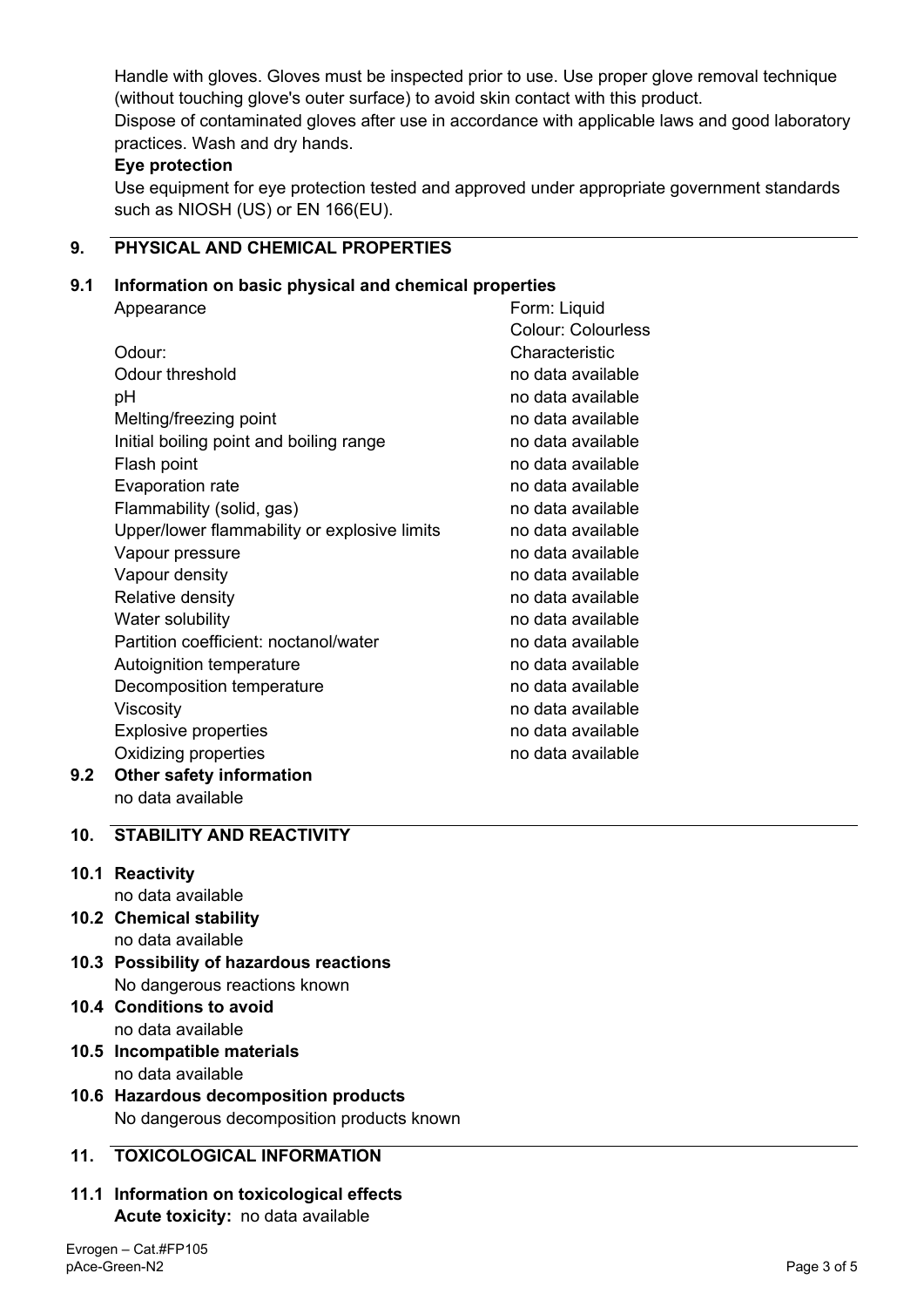Handle with gloves. Gloves must be inspected prior to use. Use proper glove removal technique (without touching glove's outer surface) to avoid skin contact with this product. Dispose of contaminated gloves after use in accordance with applicable laws and good laboratory practices. Wash and dry hands.

## **Eye protection**

Use equipment for eye protection tested and approved under appropriate government standards such as NIOSH (US) or EN 166(EU).

# **9. PHYSICAL AND CHEMICAL PROPERTIES**

#### **9.1 Information on basic physical and chemical properties**

|     | Appearance                                   | Form: Liquid              |
|-----|----------------------------------------------|---------------------------|
|     |                                              | <b>Colour: Colourless</b> |
|     | Odour:                                       | Characteristic            |
|     | Odour threshold                              | no data available         |
|     | рH                                           | no data available         |
|     | Melting/freezing point                       | no data available         |
|     | Initial boiling point and boiling range      | no data available         |
|     | Flash point                                  | no data available         |
|     | Evaporation rate                             | no data available         |
|     | Flammability (solid, gas)                    | no data available         |
|     | Upper/lower flammability or explosive limits | no data available         |
|     | Vapour pressure                              | no data available         |
|     | Vapour density                               | no data available         |
|     | Relative density                             | no data available         |
|     | Water solubility                             | no data available         |
|     | Partition coefficient: noctanol/water        | no data available         |
|     | Autoignition temperature                     | no data available         |
|     | Decomposition temperature                    | no data available         |
|     | Viscosity                                    | no data available         |
|     | <b>Explosive properties</b>                  | no data available         |
|     | Oxidizing properties                         | no data available         |
| 9.2 | <b>Other safety information</b>              |                           |

no data available

# **10. STABILITY AND REACTIVITY**

## **10.1 Reactivity**

- no data available
- **10.2 Chemical stability** no data available
- **10.3 Possibility of hazardous reactions** No dangerous reactions known
- **10.4 Conditions to avoid** no data available
- **10.5 Incompatible materials** no data available
- **10.6 Hazardous decomposition products** No dangerous decomposition products known

## **11. TOXICOLOGICAL INFORMATION**

**11.1 Information on toxicological effects Acute toxicity:** no data available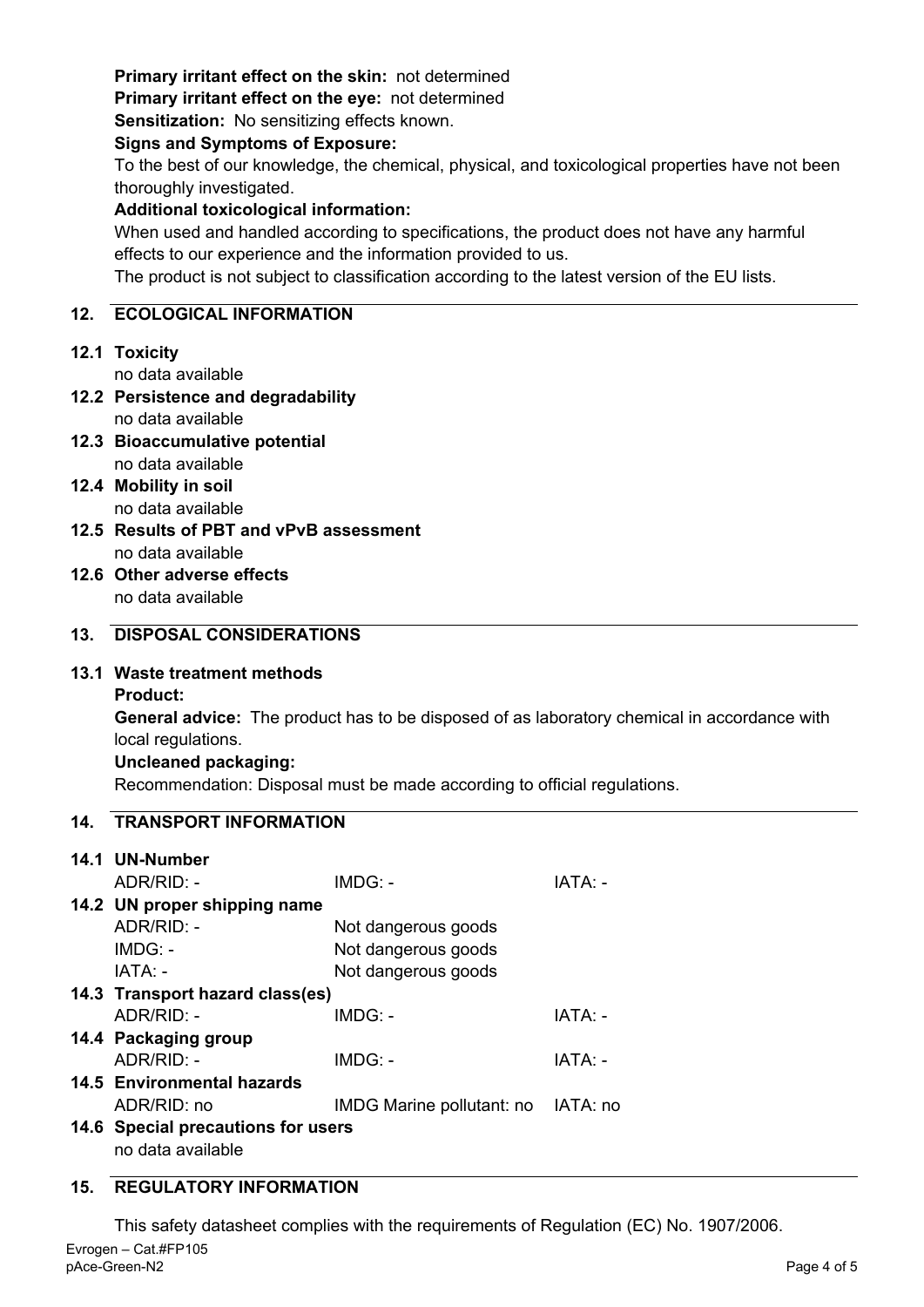# **Primary irritant effect on the skin:** not determined

**Primary irritant effect on the eye:** not determined

**Sensitization:** No sensitizing effects known.

#### **Signs and Symptoms of Exposure:**

To the best of our knowledge, the chemical, physical, and toxicological properties have not been thoroughly investigated.

## **Additional toxicological information:**

When used and handled according to specifications, the product does not have any harmful effects to our experience and the information provided to us.

The product is not subject to classification according to the latest version of the EU lists.

## **12. ECOLOGICAL INFORMATION**

# **12.1 Toxicity**

no data available

- **12.2 Persistence and degradability** no data available
- **12.3 Bioaccumulative potential** no data available
- **12.4 Mobility in soil** no data available
- **12.5 Results of PBT and vPvB assessment** no data available
- **12.6 Other adverse effects** no data available

# **13. DISPOSAL CONSIDERATIONS**

## **13.1 Waste treatment methods**

**Product:**

**General advice:** The product has to be disposed of as laboratory chemical in accordance with local regulations.

## **Uncleaned packaging:**

Recommendation: Disposal must be made according to official regulations.

## **14. TRANSPORT INFORMATION**

| 14.1 UN-Number                     |                                    |         |  |  |
|------------------------------------|------------------------------------|---------|--|--|
| $ADR/RID: -$                       | $IMDG: -$                          | IATA: - |  |  |
| 14.2 UN proper shipping name       |                                    |         |  |  |
| $ADR/RID: -$                       | Not dangerous goods                |         |  |  |
| $IMDG: -$                          | Not dangerous goods                |         |  |  |
| IATA: -                            | Not dangerous goods                |         |  |  |
| 14.3 Transport hazard class(es)    |                                    |         |  |  |
| $ADR/RID -$                        | $IMDG: -$                          | IATA: - |  |  |
| 14.4 Packaging group               |                                    |         |  |  |
| $ADR/RID: -$                       | IMDG: -                            | IATA: - |  |  |
| 14.5 Environmental hazards         |                                    |         |  |  |
| ADR/RID: no                        | IMDG Marine pollutant: no IATA: no |         |  |  |
| 14.6 Special precautions for users |                                    |         |  |  |
| no data available                  |                                    |         |  |  |

# **15. REGULATORY INFORMATION**

Evrogen – Cat.#FP105 This safety datasheet complies with the requirements of Regulation (EC) No. 1907/2006.